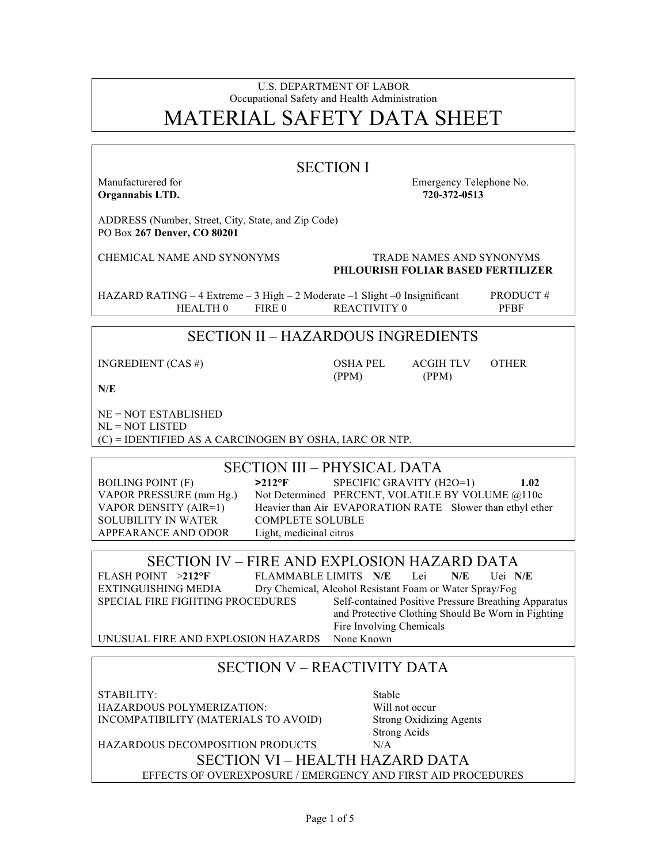#### U.S. DEPARTMENT OF LABOR Occupational Safety and Health Administration MATERIAL SAFETY DATA SHEET

| <b>SECTION I</b>                                                                                                                                                                                                                                                                                                                                                                               |                                                                                                                                                   |  |  |
|------------------------------------------------------------------------------------------------------------------------------------------------------------------------------------------------------------------------------------------------------------------------------------------------------------------------------------------------------------------------------------------------|---------------------------------------------------------------------------------------------------------------------------------------------------|--|--|
| Manufacturered for<br>Organnabis LTD.                                                                                                                                                                                                                                                                                                                                                          | Emergency Telephone No.<br>720-372-0513                                                                                                           |  |  |
| ADDRESS (Number, Street, City, State, and Zip Code)<br>PO Box 267 Denver, CO 80201                                                                                                                                                                                                                                                                                                             |                                                                                                                                                   |  |  |
| <b>CHEMICAL NAME AND SYNONYMS</b>                                                                                                                                                                                                                                                                                                                                                              | <b>TRADE NAMES AND SYNONYMS</b><br><b>PHLOURISH FOLIAR BASED FERTILIZER</b>                                                                       |  |  |
| HAZARD RATING - 4 Extreme - 3 High - 2 Moderate -1 Slight -0 Insignificant<br><b>HEALTH0</b><br>FIRE 0                                                                                                                                                                                                                                                                                         | PRODUCT#<br><b>REACTIVITY 0</b><br><b>PFBF</b>                                                                                                    |  |  |
|                                                                                                                                                                                                                                                                                                                                                                                                | <b>SECTION II - HAZARDOUS INGREDIENTS</b>                                                                                                         |  |  |
| INGREDIENT (CAS #)                                                                                                                                                                                                                                                                                                                                                                             | <b>OSHA PEL</b><br><b>OTHER</b><br>ACGIH TLV<br>(PPM)<br>(PPM)                                                                                    |  |  |
| N/E                                                                                                                                                                                                                                                                                                                                                                                            |                                                                                                                                                   |  |  |
| $NE = NOT ESTABILITYHED$<br>$NL = NOT LISTED$<br>$(C)$ = IDENTIFIED AS A CARCINOGEN BY OSHA, IARC OR NTP.                                                                                                                                                                                                                                                                                      |                                                                                                                                                   |  |  |
| <b>SECTION III – PHYSICAL DATA</b>                                                                                                                                                                                                                                                                                                                                                             |                                                                                                                                                   |  |  |
| <b>BOILING POINT (F)</b><br>$>212$ °F<br>VAPOR PRESSURE (mm Hg.)<br>VAPOR DENSITY (AIR=1)<br><b>SOLUBILITY IN WATER</b><br><b>COMPLETE SOLUBLE</b><br>APPEARANCE AND ODOR<br>Light, medicinal citrus                                                                                                                                                                                           | SPECIFIC GRAVITY (H2O=1)<br>1.02<br>Not Determined PERCENT, VOLATILE BY VOLUME @110c<br>Heavier than Air EVAPORATION RATE Slower than ethyl ether |  |  |
| SECTION IV – FIRE AND EXPLOSION HAZARD DATA                                                                                                                                                                                                                                                                                                                                                    |                                                                                                                                                   |  |  |
| FLASH POINT >212°F<br>FLAMMABLE LIMITS N/E<br>Uei N/E<br>Lei<br>N/E<br>Dry Chemical, Alcohol Resistant Foam or Water Spray/Fog<br><b>EXTINGUISHING MEDIA</b><br>SPECIAL FIRE FIGHTING PROCEDURES<br>Self-contained Positive Pressure Breathing Apparatus<br>and Protective Clothing Should Be Worn in Fighting<br>Fire Involving Chemicals<br>UNUSUAL FIRE AND EXPLOSION HAZARDS<br>None Known |                                                                                                                                                   |  |  |
| <b>SECTION V – REACTIVITY DATA</b>                                                                                                                                                                                                                                                                                                                                                             |                                                                                                                                                   |  |  |
|                                                                                                                                                                                                                                                                                                                                                                                                |                                                                                                                                                   |  |  |
| STABILITY:<br><b>HAZARDOUS POLYMERIZATION:</b><br>INCOMPATIBILITY (MATERIALS TO AVOID)                                                                                                                                                                                                                                                                                                         | Stable<br>Will not occur<br><b>Strong Oxidizing Agents</b><br><b>Strong Acids</b>                                                                 |  |  |
| HAZARDOUS DECOMPOSITION PRODUCTS                                                                                                                                                                                                                                                                                                                                                               | N/A<br><b>SECTION VI – HEALTH HAZARD DATA</b>                                                                                                     |  |  |
|                                                                                                                                                                                                                                                                                                                                                                                                | EFFECTS OF OVEREXPOSURE / EMERGENCY AND FIRST AID PROCEDURES                                                                                      |  |  |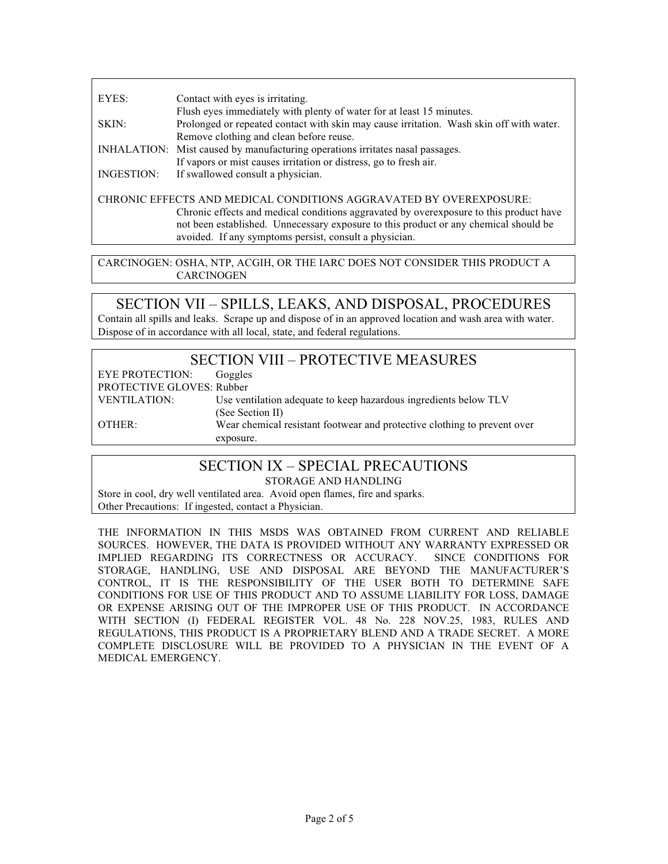EYES: Contact with eyes is irritating. Flush eyes immediately with plenty of water for at least 15 minutes. SKIN: Prolonged or repeated contact with skin may cause irritation. Wash skin off with water. Remove clothing and clean before reuse. INHALATION: Mist caused by manufacturing operations irritates nasal passages. If vapors or mist causes irritation or distress, go to fresh air. INGESTION: If swallowed consult a physician. CHRONIC EFFECTS AND MEDICAL CONDITIONS AGGRAVATED BY OVEREXPOSURE: Chronic effects and medical conditions aggravated by overexposure to this product have not been established. Unnecessary exposure to this product or any chemical should be avoided. If any symptoms persist, consult a physician.

CARCINOGEN: OSHA, NTP, ACGIH, OR THE IARC DOES NOT CONSIDER THIS PRODUCT A **CARCINOGEN** 

#### SECTION VII – SPILLS, LEAKS, AND DISPOSAL, PROCEDURES

Contain all spills and leaks. Scrape up and dispose of in an approved location and wash area with water. Dispose of in accordance with all local, state, and federal regulations.

#### SECTION VIII – PROTECTIVE MEASURES

EYE PROTECTION: Goggles PROTECTIVE GLOVES: Rubber VENTILATION: Use ventilation adequate to keep hazardous ingredients below TLV (See Section II) OTHER: Wear chemical resistant footwear and protective clothing to prevent over exposure.

# SECTION IX – SPECIAL PRECAUTIONS

STORAGE AND HANDLING

Store in cool, dry well ventilated area. Avoid open flames, fire and sparks. Other Precautions: If ingested, contact a Physician.

THE INFORMATION IN THIS MSDS WAS OBTAINED FROM CURRENT AND RELIABLE SOURCES. HOWEVER, THE DATA IS PROVIDED WITHOUT ANY WARRANTY EXPRESSED OR IMPLIED REGARDING ITS CORRECTNESS OR ACCURACY. SINCE CONDITIONS FOR IMPLIED REGARDING ITS CORRECTNESS OR ACCURACY. STORAGE, HANDLING, USE AND DISPOSAL ARE BEYOND THE MANUFACTURER'S CONTROL, IT IS THE RESPONSIBILITY OF THE USER BOTH TO DETERMINE SAFE CONDITIONS FOR USE OF THIS PRODUCT AND TO ASSUME LIABILITY FOR LOSS, DAMAGE OR EXPENSE ARISING OUT OF THE IMPROPER USE OF THIS PRODUCT. IN ACCORDANCE WITH SECTION (I) FEDERAL REGISTER VOL. 48 No. 228 NOV.25, 1983, RULES AND REGULATIONS, THIS PRODUCT IS A PROPRIETARY BLEND AND A TRADE SECRET. A MORE COMPLETE DISCLOSURE WILL BE PROVIDED TO A PHYSICIAN IN THE EVENT OF A MEDICAL EMERGENCY.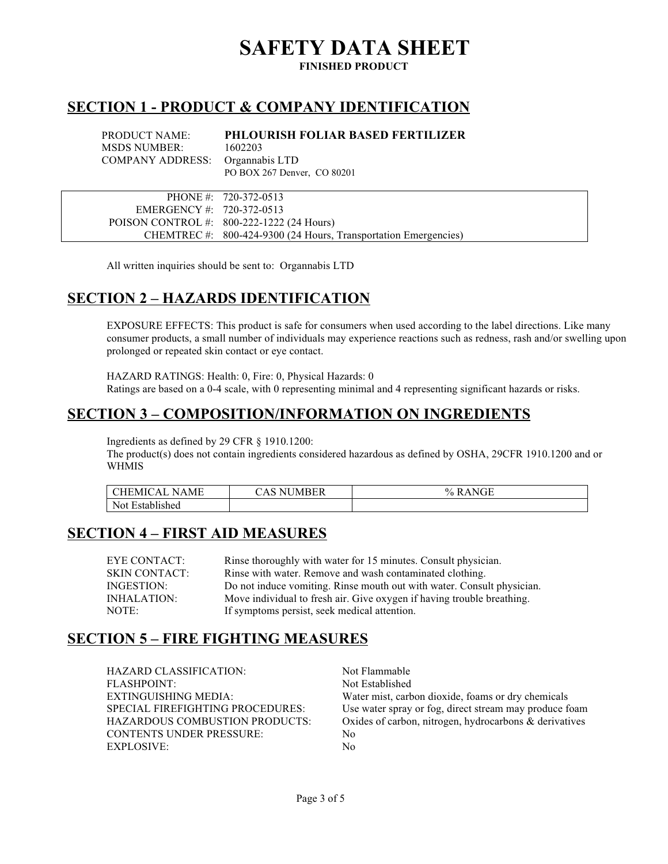# **SAFETY DATA SHEET**

**FINISHED PRODUCT**

#### **SECTION 1 - PRODUCT & COMPANY IDENTIFICATION**

PRODUCT NAME: **PHLOURISH FOLIAR BASED FERTILIZER** MSDS NUMBER: 1602203 COMPANY ADDRESS: Organnabis LTD PO BOX 267 Denver, CO 80201

|                             | PHONE #: 720-372-0513                                           |
|-----------------------------|-----------------------------------------------------------------|
| EMERGENCY #: $720-372-0513$ |                                                                 |
|                             | POISON CONTROL #: $800-222-1222$ (24 Hours)                     |
|                             | CHEMTREC #: 800-424-9300 (24 Hours, Transportation Emergencies) |

All written inquiries should be sent to: Organnabis LTD

### **SECTION 2 – HAZARDS IDENTIFICATION**

EXPOSURE EFFECTS: This product is safe for consumers when used according to the label directions. Like many consumer products, a small number of individuals may experience reactions such as redness, rash and/or swelling upon prolonged or repeated skin contact or eye contact.

HAZARD RATINGS: Health: 0, Fire: 0, Physical Hazards: 0 Ratings are based on a 0-4 scale, with 0 representing minimal and 4 representing significant hazards or risks.

## **SECTION 3 – COMPOSITION/INFORMATION ON INGREDIENTS**

Ingredients as defined by 29 CFR § 1910.1200:

The product(s) does not contain ingredients considered hazardous as defined by OSHA, 29CFR 1910.1200 and or WHMIS

| MЕ<br>ΑI<br>N A<br>MI 10 | <b>NUMBER</b><br>$\Lambda$ | $\rightarrow$ $\rightarrow$ $\rightarrow$ $\rightarrow$<br>$\frac{0}{2}$<br>NI<br>хH<br>نلال |
|--------------------------|----------------------------|----------------------------------------------------------------------------------------------|
| Not<br>Established       |                            |                                                                                              |

#### **SECTION 4 – FIRST AID MEASURES**

| EYE CONTACT:         | Rinse thoroughly with water for 15 minutes. Consult physician.         |
|----------------------|------------------------------------------------------------------------|
| <b>SKIN CONTACT:</b> | Rinse with water. Remove and wash contaminated clothing.               |
| INGESTION:           | Do not induce vomiting. Rinse mouth out with water. Consult physician. |
| INHALATION:          | Move individual to fresh air. Give oxygen if having trouble breathing. |
| NOTE:                | If symptoms persist, seek medical attention.                           |

#### **SECTION 5 – FIRE FIGHTING MEASURES**

| HAZARD CLASSIFICATION:                | Not Flammable                                             |
|---------------------------------------|-----------------------------------------------------------|
| FLASHPOINT:                           | Not Established                                           |
| EXTINGUISHING MEDIA:                  | Water mist, carbon dioxide, foams or dry chemicals        |
| SPECIAL FIREFIGHTING PROCEDURES:      | Use water spray or fog, direct stream may produce foam    |
| <b>HAZARDOUS COMBUSTION PRODUCTS:</b> | Oxides of carbon, nitrogen, hydrocarbons $\&$ derivatives |
| <b>CONTENTS UNDER PRESSURE:</b>       | No                                                        |
| EXPLOSIVE:                            | No                                                        |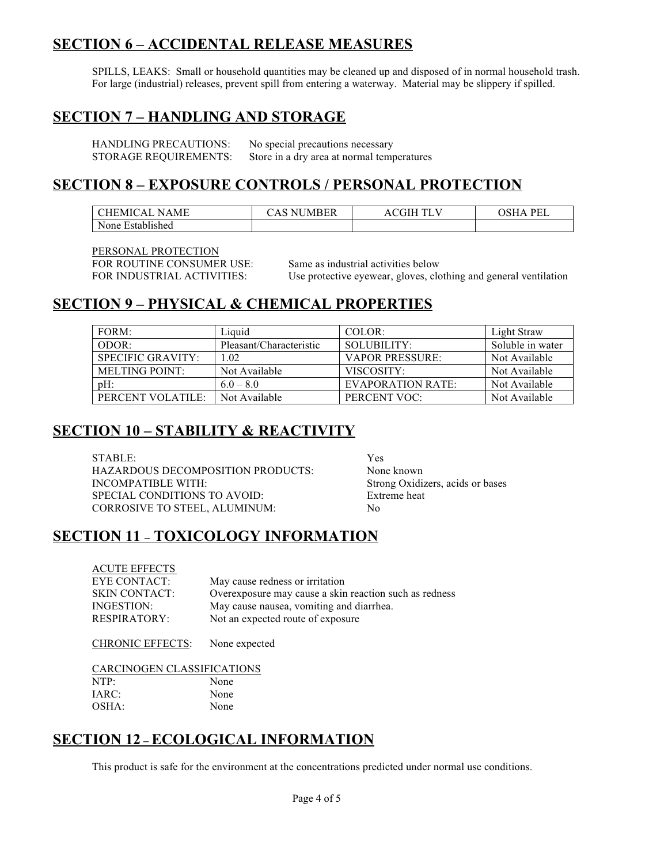#### **SECTION 6 – ACCIDENTAL RELEASE MEASURES**

SPILLS, LEAKS: Small or household quantities may be cleaned up and disposed of in normal household trash. For large (industrial) releases, prevent spill from entering a waterway. Material may be slippery if spilled.

#### **SECTION 7 – HANDLING AND STORAGE**

| <b>HANDLING PRECAUTIONS:</b> | No special precautions necessary           |
|------------------------------|--------------------------------------------|
| STORAGE REQUIREMENTS:        | Store in a dry area at normal temperatures |

#### **SECTION 8 – EXPOSURE CONTROLS / PERSONAL PROTECTION**

| CHEMICAL NAME    | <b>IMBER</b><br>$\triangle$ AS $\triangle$<br>NU. | ÷Н<br>AC | PEL<br><b>)SHA</b> |
|------------------|---------------------------------------------------|----------|--------------------|
| None Established |                                                   |          |                    |

PERSONAL PROTECTION FOR ROUTINE CONSUMER USE: Same as industrial activities below

FOR INDUSTRIAL ACTIVITIES: Use protective eyewear, gloves, clothing and general ventilation

#### **SECTION 9 – PHYSICAL & CHEMICAL PROPERTIES**

| FORM:                 | Liquid                  | COLOR:                   | Light Straw      |
|-----------------------|-------------------------|--------------------------|------------------|
| ODOR:                 | Pleasant/Characteristic | SOLUBILITY:              | Soluble in water |
| SPECIFIC GRAVITY:     | 1.02                    | <b>VAPOR PRESSURE:</b>   | Not Available    |
| <b>MELTING POINT:</b> | Not Available           | VISCOSITY:               | Not Available    |
| $pH$ :                | $6.0 - 8.0$             | <b>EVAPORATION RATE:</b> | Not Available    |
| PERCENT VOLATILE:     | Not Available           | PERCENT VOC:             | Not Available    |

# **SECTION 10 – STABILITY & REACTIVITY**

STABLE: Yes HAZARDOUS DECOMPOSITION PRODUCTS: None known INCOMPATIBLE WITH: Strong Oxidizers, acids or bases SPECIAL CONDITIONS TO AVOID: Extreme heat CORROSIVE TO STEEL, ALUMINUM: No

# **SECTION 11 – TOXICOLOGY INFORMATION**

| <b>ACUTE EFFECTS</b> |                                                        |
|----------------------|--------------------------------------------------------|
| <b>EYE CONTACT:</b>  | May cause redness or irritation                        |
| <b>SKIN CONTACT:</b> | Overexposure may cause a skin reaction such as redness |
| INGESTION:           | May cause nausea, vomiting and diarrhea.               |
| <b>RESPIRATORY:</b>  | Not an expected route of exposure                      |
|                      |                                                        |

CHRONIC EFFECTS: None expected

| CARCINOGEN CLASSIFICATIONS |      |
|----------------------------|------|
| NTP:                       | None |
| IARC:                      | None |
| OSHA:                      | None |

### **SECTION 12 – ECOLOGICAL INFORMATION**

This product is safe for the environment at the concentrations predicted under normal use conditions.